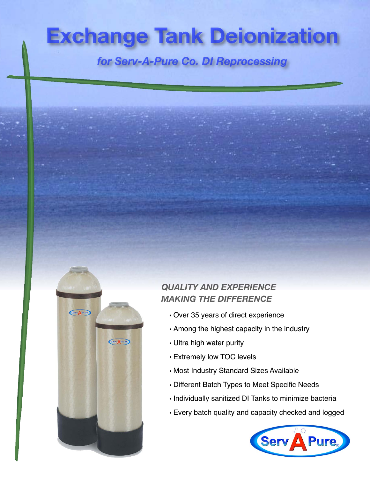# **Exchange Tank Deionization**

for Serv-A-Pure Co. DI Reprocessing

# *QUALITY AND EXPERIENCE MAKING THE DIFFERENCE*

- Over 35 years of direct experience
- Among the highest capacity in the industry
- Ultra high water purity

Serv A Pure

Serv A Pure

- Extremely low TOC levels
- Most Industry Standard Sizes Available
- Different Batch Types to Meet Specific Needs
- Individually sanitized DI Tanks to minimize bacteria
- Every batch quality and capacity checked and logged

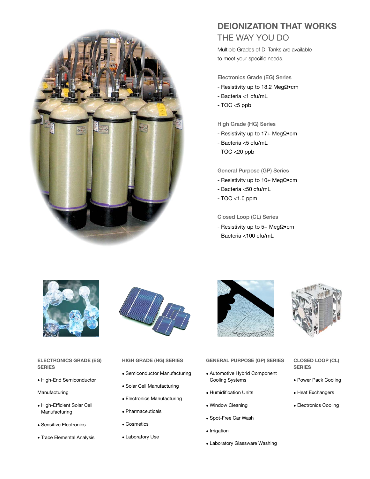

# **DEIONIZATION THAT WORKS** THE WAY YOU DO

Multiple Grades of DI Tanks are available to meet your specific needs.

### **Electronics Grade (EG) Series**

- Resistivity up to 18.2 MegΩ•cm
- Bacteria <1 cfu/mL
- TOC <5 ppb

### **High Grade (HG) Series**

- Resistivity up to 17+ MegΩ•cm
- Bacteria <5 cfu/mL
- TOC <20 ppb

### **General Purpose (GP) Series**

- Resistivity up to 10+ MegΩ•cm
- Bacteria <50 cfu/mL
- TOC <1.0 ppm

**Closed Loop (CL) Series**

- Resistivity up to 5+ MegΩ•cm
- Bacteria <100 cfu/mL



### **ELECTRONICS GRADE (EG) SERIES**

• High-End Semiconductor

### Manufacturing

- High-Efficient Solar Cell Manufacturing
- Sensitive Electronics
- Trace Elemental Analysis



### **HIGH GRADE (HG) SERIES**

- Semiconductor Manufacturing
- Solar Cell Manufacturing
- Electronics Manufacturing
- Pharmaceuticals
- Cosmetics
- Laboratory Use



- Automotive Hybrid Component Cooling Systems
- Humidification Units
- Window Cleaning
- Spot-Free Car Wash
- Irrigation
- Laboratory Glassware Washing



### **CLOSED LOOP (CL) SERIES**

- Power Pack Cooling
- Heat Exchangers
- Electronics Cooling
- -
- **GENERAL PURPOSE (GP) SERIES**
	-
	-